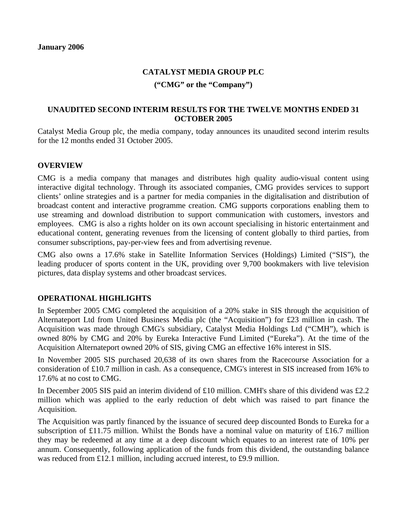## **CATALYST MEDIA GROUP PLC**

## **("CMG" or the "Company")**

## **UNAUDITED SECOND INTERIM RESULTS FOR THE TWELVE MONTHS ENDED 31 OCTOBER 2005**

Catalyst Media Group plc, the media company, today announces its unaudited second interim results for the 12 months ended 31 October 2005.

## **OVERVIEW**

CMG is a media company that manages and distributes high quality audio-visual content using interactive digital technology. Through its associated companies, CMG provides services to support clients' online strategies and is a partner for media companies in the digitalisation and distribution of broadcast content and interactive programme creation. CMG supports corporations enabling them to use streaming and download distribution to support communication with customers, investors and employees. CMG is also a rights holder on its own account specialising in historic entertainment and educational content, generating revenues from the licensing of content globally to third parties, from consumer subscriptions, pay-per-view fees and from advertising revenue.

CMG also owns a 17.6% stake in Satellite Information Services (Holdings) Limited ("SIS"), the leading producer of sports content in the UK, providing over 9,700 bookmakers with live television pictures, data display systems and other broadcast services.

## **OPERATIONAL HIGHLIGHTS**

In September 2005 CMG completed the acquisition of a 20% stake in SIS through the acquisition of Alternateport Ltd from United Business Media plc (the "Acquisition") for £23 million in cash. The Acquisition was made through CMG's subsidiary, Catalyst Media Holdings Ltd ("CMH"), which is owned 80% by CMG and 20% by Eureka Interactive Fund Limited ("Eureka"). At the time of the Acquisition Alternateport owned 20% of SIS, giving CMG an effective 16% interest in SIS.

In November 2005 SIS purchased 20,638 of its own shares from the Racecourse Association for a consideration of £10.7 million in cash. As a consequence, CMG's interest in SIS increased from 16% to 17.6% at no cost to CMG.

In December 2005 SIS paid an interim dividend of £10 million. CMH's share of this dividend was £2.2 million which was applied to the early reduction of debt which was raised to part finance the Acquisition.

The Acquisition was partly financed by the issuance of secured deep discounted Bonds to Eureka for a subscription of £11.75 million. Whilst the Bonds have a nominal value on maturity of £16.7 million they may be redeemed at any time at a deep discount which equates to an interest rate of 10% per annum. Consequently, following application of the funds from this dividend, the outstanding balance was reduced from £12.1 million, including accrued interest, to £9.9 million.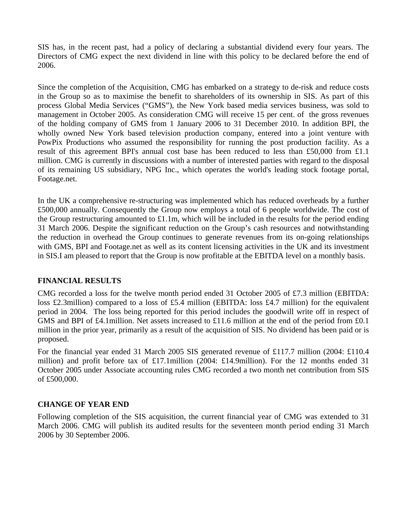SIS has, in the recent past, had a policy of declaring a substantial dividend every four years. The Directors of CMG expect the next dividend in line with this policy to be declared before the end of 2006.

Since the completion of the Acquisition, CMG has embarked on a strategy to de-risk and reduce costs in the Group so as to maximise the benefit to shareholders of its ownership in SIS. As part of this process Global Media Services ("GMS"), the New York based media services business, was sold to management in October 2005. As consideration CMG will receive 15 per cent. of the gross revenues of the holding company of GMS from 1 January 2006 to 31 December 2010. In addition BPI, the wholly owned New York based television production company, entered into a joint venture with PowPix Productions who assumed the responsibility for running the post production facility. As a result of this agreement BPI's annual cost base has been reduced to less than £50,000 from £1.1 million. CMG is currently in discussions with a number of interested parties with regard to the disposal of its remaining US subsidiary, NPG Inc., which operates the world's leading stock footage portal, Footage.net.

In the UK a comprehensive re-structuring was implemented which has reduced overheads by a further £500,000 annually. Consequently the Group now employs a total of 6 people worldwide. The cost of the Group restructuring amounted to  $\pounds$ 1.1m, which will be included in the results for the period ending 31 March 2006. Despite the significant reduction on the Group's cash resources and notwithstanding the reduction in overhead the Group continues to generate revenues from its on-going relationships with GMS, BPI and Footage.net as well as its content licensing activities in the UK and its investment in SIS.I am pleased to report that the Group is now profitable at the EBITDA level on a monthly basis.

# **FINANCIAL RESULTS**

CMG recorded a loss for the twelve month period ended 31 October 2005 of £7.3 million (EBITDA: loss £2.3million) compared to a loss of £5.4 million (EBITDA: loss £4.7 million) for the equivalent period in 2004. The loss being reported for this period includes the goodwill write off in respect of GMS and BPI of £4.1 million. Net assets increased to £11.6 million at the end of the period from £0.1 million in the prior year, primarily as a result of the acquisition of SIS. No dividend has been paid or is proposed.

For the financial year ended 31 March 2005 SIS generated revenue of £117.7 million (2004: £110.4 million) and profit before tax of £17.1million (2004: £14.9million). For the 12 months ended 31 October 2005 under Associate accounting rules CMG recorded a two month net contribution from SIS of £500,000.

## **CHANGE OF YEAR END**

Following completion of the SIS acquisition, the current financial year of CMG was extended to 31 March 2006. CMG will publish its audited results for the seventeen month period ending 31 March 2006 by 30 September 2006.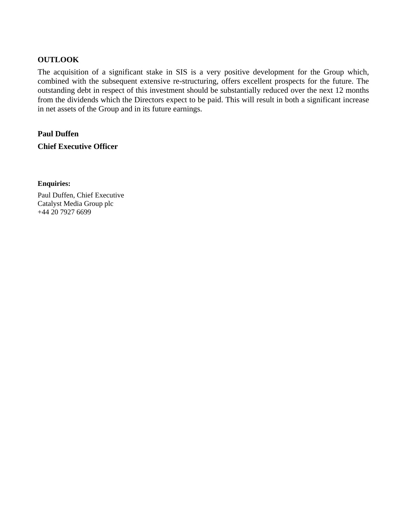## **OUTLOOK**

The acquisition of a significant stake in SIS is a very positive development for the Group which, combined with the subsequent extensive re-structuring, offers excellent prospects for the future. The outstanding debt in respect of this investment should be substantially reduced over the next 12 months from the dividends which the Directors expect to be paid. This will result in both a significant increase in net assets of the Group and in its future earnings.

**Paul Duffen Chief Executive Officer** 

#### **Enquiries:**

Paul Duffen, Chief Executive Catalyst Media Group plc +44 20 7927 6699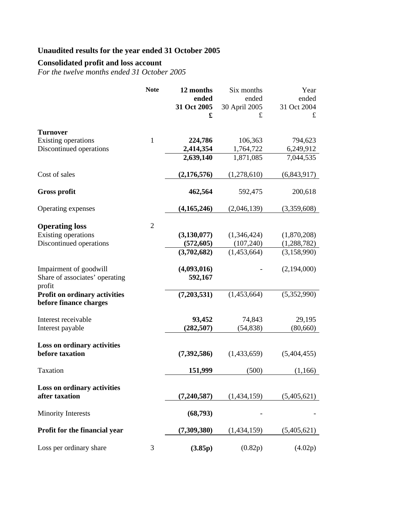# **Unaudited results for the year ended 31 October 2005**

# **Consolidated profit and loss account**

*For the twelve months ended 31 October 2005* 

|                                                       | <b>Note</b>    | 12 months                 | Six months                | Year                       |
|-------------------------------------------------------|----------------|---------------------------|---------------------------|----------------------------|
|                                                       |                | ended                     | ended                     | ended                      |
|                                                       |                | 31 Oct 2005               | 30 April 2005             | 31 Oct 2004                |
|                                                       |                | £                         | £                         | £                          |
|                                                       |                |                           |                           |                            |
| <b>Turnover</b><br>Existing operations                | $\mathbf{1}$   | 224,786                   | 106,363                   | 794,623                    |
| Discontinued operations                               |                | 2,414,354                 | 1,764,722                 | 6,249,912                  |
|                                                       |                | 2,639,140                 | 1,871,085                 | 7,044,535                  |
|                                                       |                |                           |                           |                            |
| Cost of sales                                         |                | (2,176,576)               | (1,278,610)               | (6,843,917)                |
|                                                       |                |                           |                           |                            |
| <b>Gross profit</b>                                   |                | 462,564                   | 592,475                   | 200,618                    |
|                                                       |                |                           |                           |                            |
| Operating expenses                                    |                | (4, 165, 246)             | (2,046,139)               | (3,359,608)                |
|                                                       | $\overline{2}$ |                           |                           |                            |
| <b>Operating loss</b>                                 |                |                           |                           |                            |
| Existing operations<br>Discontinued operations        |                | (3, 130, 077)             | (1,346,424)<br>(107, 240) | (1,870,208)                |
|                                                       |                | (572, 605)<br>(3,702,682) | (1,453,664)               | (1,288,782)<br>(3,158,990) |
|                                                       |                |                           |                           |                            |
| Impairment of goodwill                                |                | (4,093,016)               |                           | (2,194,000)                |
| Share of associates' operating                        |                | 592,167                   |                           |                            |
| profit                                                |                |                           |                           |                            |
| <b>Profit on ordinary activities</b>                  |                | (7,203,531)               | (1,453,664)               | (5,352,990)                |
| before finance charges                                |                |                           |                           |                            |
|                                                       |                |                           |                           |                            |
| Interest receivable                                   |                | 93,452                    | 74,843                    | 29,195                     |
| Interest payable                                      |                | (282, 507)                | (54, 838)                 | (80, 660)                  |
|                                                       |                |                           |                           |                            |
| <b>Loss on ordinary activities</b><br>before taxation |                | (7,392,586)               | (1,433,659)               | (5,404,455)                |
|                                                       |                |                           |                           |                            |
| Taxation                                              |                | 151,999                   | (500)                     | (1,166)                    |
|                                                       |                |                           |                           |                            |
| Loss on ordinary activities                           |                |                           |                           |                            |
| after taxation                                        |                | (7, 240, 587)             | (1,434,159)               | (5,405,621)                |
|                                                       |                |                           |                           |                            |
| <b>Minority Interests</b>                             |                | (68,793)                  |                           |                            |
|                                                       |                |                           |                           |                            |
| Profit for the financial year                         |                | (7,309,380)               | (1,434,159)               | (5,405,621)                |
| Loss per ordinary share                               | 3              | (3.85p)                   | (0.82p)                   | (4.02p)                    |
|                                                       |                |                           |                           |                            |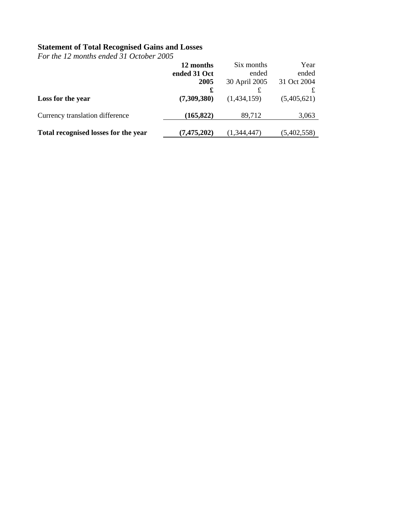### **Statement of Total Recognised Gains and Losses**

*For the 12 months ended 31 October 2005* 

|                                      | 12 months     | Six months    | Year        |  |
|--------------------------------------|---------------|---------------|-------------|--|
|                                      | ended 31 Oct  | ended         | ended       |  |
|                                      | 2005          | 30 April 2005 | 31 Oct 2004 |  |
|                                      | £             | £             | £           |  |
| Loss for the year                    | (7,309,380)   | (1,434,159)   | (5,405,621) |  |
| Currency translation difference      | (165, 822)    | 89,712        | 3,063       |  |
| Total recognised losses for the year | (7, 475, 202) | (1,344,447)   | (5,402,558) |  |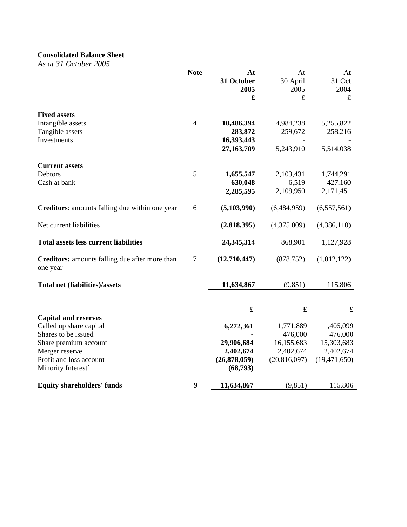# **Consolidated Balance Sheet**

*As at 31 October 2005* 

|                                                            | <b>Note</b>    | At           | At           | At             |
|------------------------------------------------------------|----------------|--------------|--------------|----------------|
|                                                            |                | 31 October   | 30 April     | 31 Oct         |
|                                                            |                | 2005         | 2005         | 2004           |
|                                                            |                | £            | £            | £              |
| <b>Fixed assets</b>                                        |                |              |              |                |
| Intangible assets                                          | $\overline{4}$ | 10,486,394   | 4,984,238    | 5,255,822      |
| Tangible assets                                            |                | 283,872      | 259,672      | 258,216        |
| Investments                                                |                | 16,393,443   |              |                |
|                                                            |                | 27,163,709   | 5,243,910    | 5,514,038      |
| <b>Current assets</b>                                      |                |              |              |                |
| <b>Debtors</b>                                             | 5              | 1,655,547    | 2,103,431    | 1,744,291      |
| Cash at bank                                               |                | 630,048      | 6,519        | 427,160        |
|                                                            |                | 2,285,595    | 2,109,950    | 2,171,451      |
| Creditors: amounts falling due within one year             | 6              | (5,103,990)  | (6,484,959)  | (6,557,561)    |
| Net current liabilities                                    |                | (2,818,395)  | (4,375,009)  | (4,386,110)    |
| <b>Total assets less current liabilities</b>               |                | 24,345,314   | 868,901      | 1,127,928      |
| Creditors: amounts falling due after more than<br>one year | $\tau$         | (12,710,447) | (878, 752)   | (1,012,122)    |
| <b>Total net (liabilities)/assets</b>                      |                | 11,634,867   | (9, 851)     | 115,806        |
|                                                            |                |              |              |                |
|                                                            |                | £            | £            | £              |
| <b>Capital and reserves</b>                                |                |              |              |                |
| Called up share capital                                    |                | 6,272,361    | 1,771,889    | 1,405,099      |
| Shares to be issued                                        |                |              | 476,000      | 476,000        |
| Share premium account                                      |                | 29,906,684   | 16,155,683   | 15,303,683     |
| Merger reserve                                             |                | 2,402,674    | 2,402,674    | 2,402,674      |
| Profit and loss account                                    |                | (26,878,059) | (20,816,097) | (19, 471, 650) |
| Minority Interest`                                         |                | (68,793)     |              |                |
| <b>Equity shareholders' funds</b>                          | 9              | 11,634,867   | (9, 851)     | 115,806        |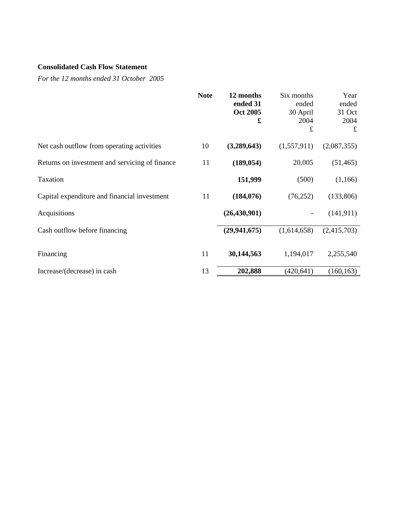# **Consolidated Cash Flow Statement**

*For the 12 months ended 31 October 2005* 

|                                                | <b>Note</b> | 12 months<br>ended 31<br><b>Oct 2005</b><br>£ | Six months<br>ended<br>30 April<br>2004<br>£ | Year<br>ended<br>31 Oct<br>2004<br>£ |
|------------------------------------------------|-------------|-----------------------------------------------|----------------------------------------------|--------------------------------------|
| Net cash outflow from operating activities     | 10          | (3,289,643)                                   | (1,557,911)                                  | (2,087,355)                          |
| Returns on investment and servicing of finance | 11          | (189, 054)                                    | 20,005                                       | (51, 465)                            |
| Taxation                                       |             | 151,999                                       | (500)                                        | (1,166)                              |
| Capital expenditure and financial investment   | 11          | (184, 076)                                    | (76, 252)                                    | (133,806)                            |
| Acquisitions                                   |             | (26, 430, 901)                                |                                              | (141, 911)                           |
| Cash outflow before financing                  |             | (29, 941, 675)                                | (1,614,658)                                  | (2,415,703)                          |
| Financing                                      | 11          | 30,144,563                                    | 1,194,017                                    | 2,255,540                            |
| Increase/(decrease) in cash                    | 13          | 202,888                                       | (420, 641)                                   | (160, 163)                           |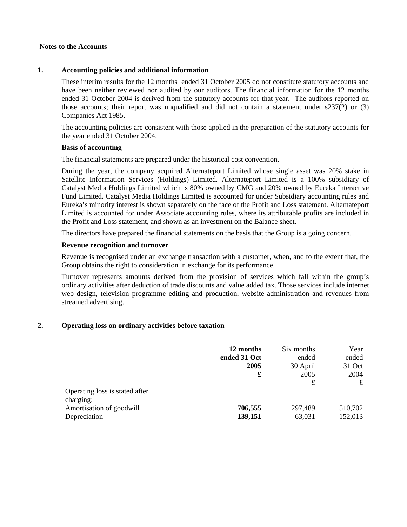#### **Notes to the Accounts**

#### **1. Accounting policies and additional information**

These interim results for the 12 months ended 31 October 2005 do not constitute statutory accounts and have been neither reviewed nor audited by our auditors. The financial information for the 12 months ended 31 October 2004 is derived from the statutory accounts for that year. The auditors reported on those accounts; their report was unqualified and did not contain a statement under s237(2) or (3) Companies Act 1985.

The accounting policies are consistent with those applied in the preparation of the statutory accounts for the year ended 31 October 2004.

#### **Basis of accounting**

The financial statements are prepared under the historical cost convention.

During the year, the company acquired Alternateport Limited whose single asset was 20% stake in Satellite Information Services (Holdings) Limited. Alternateport Limited is a 100% subsidiary of Catalyst Media Holdings Limited which is 80% owned by CMG and 20% owned by Eureka Interactive Fund Limited. Catalyst Media Holdings Limited is accounted for under Subsidiary accounting rules and Eureka's minority interest is shown separately on the face of the Profit and Loss statement. Alternateport Limited is accounted for under Associate accounting rules, where its attributable profits are included in the Profit and Loss statement, and shown as an investment on the Balance sheet.

The directors have prepared the financial statements on the basis that the Group is a going concern.

### **Revenue recognition and turnover**

Revenue is recognised under an exchange transaction with a customer, when, and to the extent that, the Group obtains the right to consideration in exchange for its performance.

Turnover represents amounts derived from the provision of services which fall within the group's ordinary activities after deduction of trade discounts and value added tax. Those services include internet web design, television programme editing and production, website administration and revenues from streamed advertising.

### **2. Operating loss on ordinary activities before taxation**

|                                | 12 months<br>ended 31 Oct | Six months<br>ended | Year<br>ended |
|--------------------------------|---------------------------|---------------------|---------------|
|                                | 2005                      | 30 April            | 31 Oct        |
|                                | £                         | 2005                | 2004          |
|                                |                           | £                   | £             |
| Operating loss is stated after |                           |                     |               |
| charging:                      |                           |                     |               |
| Amortisation of goodwill       | 706,555                   | 297,489             | 510,702       |
| Depreciation                   | 139,151                   | 63,031              | 152,013       |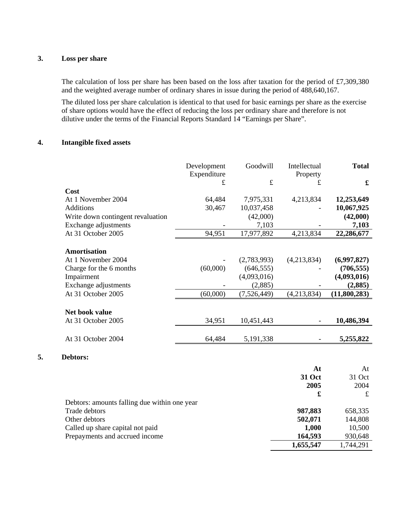### **3. Loss per share**

The calculation of loss per share has been based on the loss after taxation for the period of £7,309,380 and the weighted average number of ordinary shares in issue during the period of 488,640,167.

The diluted loss per share calculation is identical to that used for basic earnings per share as the exercise of share options would have the effect of reducing the loss per ordinary share and therefore is not dilutive under the terms of the Financial Reports Standard 14 "Earnings per Share".

#### **4. Intangible fixed assets**

|                                   | Development | Goodwill    | Intellectual | <b>Total</b> |
|-----------------------------------|-------------|-------------|--------------|--------------|
|                                   | Expenditure |             | Property     |              |
|                                   | $\mathbf f$ | $\pounds$   | £            | £            |
| Cost                              |             |             |              |              |
| At 1 November 2004                | 64,484      | 7,975,331   | 4,213,834    | 12,253,649   |
| <b>Additions</b>                  | 30,467      | 10,037,458  |              | 10,067,925   |
| Write down contingent revaluation |             | (42,000)    |              | (42,000)     |
| Exchange adjustments              |             | 7,103       |              | 7,103        |
| At 31 October 2005                | 94,951      | 17,977,892  | 4,213,834    | 22,286,677   |
| <b>Amortisation</b>               |             |             |              |              |
| At 1 November 2004                |             | (2,783,993) | (4,213,834)  | (6,997,827)  |
| Charge for the 6 months           | (60,000)    | (646, 555)  |              | (706, 555)   |
| Impairment                        |             | (4,093,016) |              | (4,093,016)  |
| Exchange adjustments              |             | (2,885)     |              | (2,885)      |
| At 31 October 2005                | (60,000)    | (7,526,449) | (4,213,834)  | (11,800,283) |
| Net book value                    |             |             |              |              |
| At 31 October 2005                | 34,951      | 10,451,443  |              | 10,486,394   |
| At 31 October 2004                | 64,484      | 5,191,338   |              | 5,255,822    |
|                                   |             |             |              |              |

### **5. Debtors:**

|                                              | At        | At        |
|----------------------------------------------|-----------|-----------|
|                                              | 31 Oct    | 31 Oct    |
|                                              | 2005      | 2004      |
|                                              | £         | £         |
| Debtors: amounts falling due within one year |           |           |
| Trade debtors                                | 987,883   | 658,335   |
| Other debtors                                | 502,071   | 144,808   |
| Called up share capital not paid             | 1,000     | 10,500    |
| Prepayments and accrued income               | 164,593   | 930,648   |
|                                              | 1,655,547 | 1,744,291 |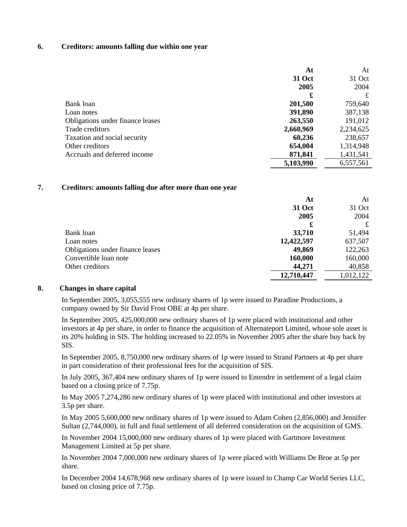#### **6. Creditors: amounts falling due within one year**

|                                  | At            | At        |
|----------------------------------|---------------|-----------|
|                                  | <b>31 Oct</b> | 31 Oct    |
|                                  | 2005          | 2004      |
|                                  | £             | £         |
| Bank loan                        | 201,500       | 759,640   |
| Loan notes                       | 391,890       | 387,138   |
| Obligations under finance leases | 263,550       | 191,012   |
| Trade creditors                  | 2,660,969     | 2,234,625 |
| Taxation and social security     | 60,236        | 238,657   |
| Other creditors                  | 654,004       | 1,314,948 |
| Accruals and deferred income     | 871,841       | 1,431,541 |
|                                  | 5,103,990     | 6,557,561 |

#### **7. Creditors: amounts falling due after more than one year**

|                                  | At         | At        |
|----------------------------------|------------|-----------|
|                                  | 31 Oct     | 31 Oct    |
|                                  | 2005       | 2004      |
|                                  | £          | £         |
| Bank loan                        | 33,710     | 51,494    |
| Loan notes                       | 12,422,597 | 637,507   |
| Obligations under finance leases | 49,869     | 122,263   |
| Convertible loan note            | 160,000    | 160,000   |
| Other creditors                  | 44,271     | 40,858    |
|                                  | 12,710,447 | 1,012,122 |

### **8. Changes in share capital**

In September 2005, 3,055,555 new ordinary shares of 1p were issued to Paradine Productions, a company owned by Sir David Frost OBE at 4p per share.

In September 2005, 425,000,000 new ordinary shares of 1p were placed with institutional and other investors at 4p per share, in order to finance the acquisition of Alternateport Limited, whose sole asset is its 20% holding in SIS. The holding increased to 22.05% in November 2005 after the share buy back by SIS.

In September 2005, 8,750,000 new ordinary shares of 1p were issued to Strand Partners at 4p per share in part consideration of their professional fees for the acquisition of SIS.

In July 2005, 367,404 new ordinary shares of 1p were issued to Entendre in settlement of a legal claim based on a closing price of 7.75p.

In May 2005 7,274,286 new ordinary shares of 1p were placed with institutional and other investors at 3.5p per share.

In May 2005 5,600,000 new ordinary shares of 1p were issued to Adam Cohen (2,856,000) and Jennifer Sultan (2,744,000), in full and final settlement of all deferred consideration on the acquisition of GMS.

In November 2004 15,000,000 new ordinary shares of 1p were placed with Gartmore Investment Management Limited at 5p per share.

In November 2004 7,000,000 new ordinary shares of 1p were placed with Williams De Broe at 5p per share.

In December 2004 14,678,968 new ordinary shares of 1p were issued to Champ Car World Series LLC, based on closing price of 7.75p.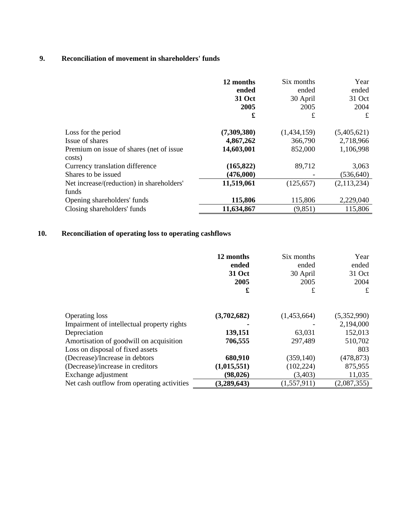# **9. Reconciliation of movement in shareholders' funds**

|                                                     | 12 months<br>ended<br>31 Oct<br>2005<br>£ | Six months<br>ended<br>30 April<br>2005<br>£ | Year<br>ended<br>31 Oct<br>2004<br>£ |
|-----------------------------------------------------|-------------------------------------------|----------------------------------------------|--------------------------------------|
|                                                     |                                           |                                              |                                      |
| Loss for the period                                 | (7,309,380)                               | (1,434,159)                                  | (5,405,621)                          |
| Issue of shares                                     | 4,867,262                                 | 366,790                                      | 2,718,966                            |
| Premium on issue of shares (net of issue)<br>costs) | 14,603,001                                | 852,000                                      | 1,106,998                            |
| Currency translation difference                     | (165, 822)                                | 89,712                                       | 3,063                                |
| Shares to be issued                                 | (476,000)                                 |                                              | (536, 640)                           |
| Net increase/(reduction) in shareholders'           | 11,519,061                                | (125, 657)                                   | (2, 113, 234)                        |
| funds                                               |                                           |                                              |                                      |
| Opening shareholders' funds                         | 115,806                                   | 115,806                                      | 2,229,040                            |
| Closing shareholders' funds                         | 11,634,867                                | (9, 851)                                     | 115,806                              |

# **10. Reconciliation of operating loss to operating cashflows**

|                                            | 12 months<br>ended<br>31 Oct<br>2005<br>£ | Six months<br>ended<br>30 April<br>2005<br>£ | Year<br>ended<br>31 Oct<br>2004<br>£ |
|--------------------------------------------|-------------------------------------------|----------------------------------------------|--------------------------------------|
| <b>Operating loss</b>                      | (3,702,682)                               | (1,453,664)                                  | (5,352,990)                          |
| Impairment of intellectual property rights |                                           |                                              | 2,194,000                            |
| Depreciation                               | 139,151                                   | 63,031                                       | 152,013                              |
| Amortisation of goodwill on acquisition    | 706,555                                   | 297,489                                      | 510,702                              |
| Loss on disposal of fixed assets           |                                           |                                              | 803                                  |
| (Decrease)/Increase in debtors             | 680,910                                   | (359, 140)                                   | (478, 873)                           |
| (Decrease)/increase in creditors           | (1,015,551)                               | (102, 224)                                   | 875,955                              |
| Exchange adjustment                        | (98, 026)                                 | (3,403)                                      | 11,035                               |
| Net cash outflow from operating activities | (3,289,643)                               | (1, 557, 911)                                | (2,087,355)                          |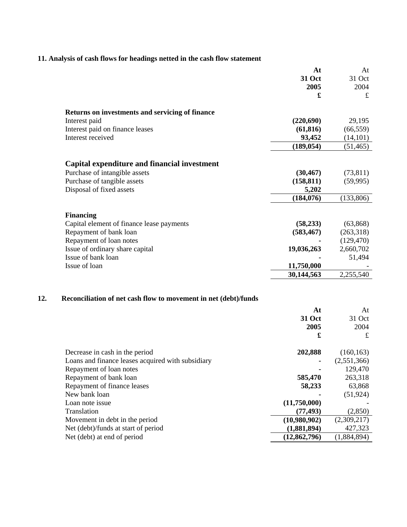## **11. Analysis of cash flows for headings netted in the cash flow statement**

|                                                 | At         | At         |
|-------------------------------------------------|------------|------------|
|                                                 | 31 Oct     | 31 Oct     |
|                                                 | 2005       | 2004       |
|                                                 | £          | £          |
| Returns on investments and servicing of finance |            |            |
| Interest paid                                   | (220, 690) | 29,195     |
| Interest paid on finance leases                 | (61, 816)  | (66, 559)  |
| Interest received                               | 93,452     | (14, 101)  |
|                                                 | (189, 054) | (51, 465)  |
| Capital expenditure and financial investment    |            |            |
| Purchase of intangible assets                   | (30, 467)  | (73, 811)  |
| Purchase of tangible assets                     | (158, 811) | (59,995)   |
| Disposal of fixed assets                        | 5,202      |            |
|                                                 | (184, 076) | (133,806)  |
| <b>Financing</b>                                |            |            |
| Capital element of finance lease payments       | (58, 233)  | (63, 868)  |
| Repayment of bank loan                          | (583, 467) | (263,318)  |
| Repayment of loan notes                         |            | (129, 470) |
| Issue of ordinary share capital                 | 19,036,263 | 2,660,702  |
| Issue of bank loan                              |            | 51,494     |
| Issue of loan                                   | 11,750,000 |            |
|                                                 | 30,144,563 | 2,255,540  |
|                                                 |            |            |

# **12. Reconciliation of net cash flow to movement in net (debt)/funds**

|                                                   | At             | At          |
|---------------------------------------------------|----------------|-------------|
|                                                   | 31 Oct         | 31 Oct      |
|                                                   | 2005           | 2004        |
|                                                   | £              | £           |
| Decrease in cash in the period                    | 202,888        | (160, 163)  |
| Loans and finance leases acquired with subsidiary | ۰              | (2,551,366) |
| Repayment of loan notes                           |                | 129,470     |
| Repayment of bank loan                            | 585,470        | 263,318     |
| Repayment of finance leases                       | 58,233         | 63,868      |
| New bank loan                                     |                | (51, 924)   |
| Loan note issue                                   | (11,750,000)   |             |
| Translation                                       | (77, 493)      | (2,850)     |
| Movement in debt in the period                    | (10,980,902)   | (2,309,217) |
| Net (debt)/funds at start of period               | (1,881,894)    | 427,323     |
| Net (debt) at end of period                       | (12, 862, 796) | (1,884,894) |